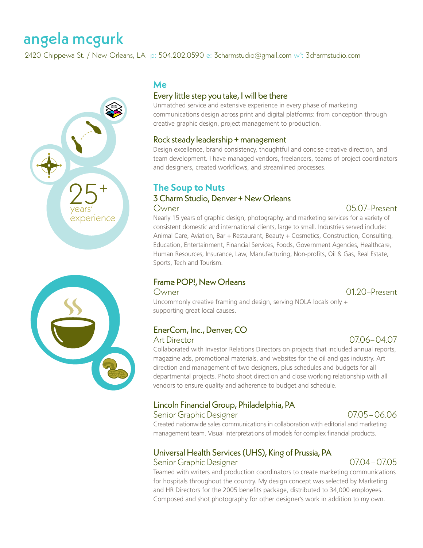# angela mcgurk

2420 Chippewa St. / New Orleans, LA  $\,$  p: 504.202.0590 e: [3charmstudio@gmail.com](mailto:3charmstudio%40gmail.com?subject=)  $\scriptstyle\rm w^3$ : [3charmstudio.com](https://www.3charmstudio.com/)





## **Me**

### Every little step you take, I will be there

Unmatched service and extensive experience in every phase of marketing communications design across print and digital platforms: from conception through creative graphic design, project management to production.

### Rock steady leadership + management

Design excellence, brand consistency, thoughtful and concise creative direction, and team development. I have managed vendors, freelancers, teams of project coordinators and designers, created workflows, and streamlined processes.

# **The Soup to Nuts**

### 3 Charm Studio, Denver + New Orleans Owner 05.07–Present

Nearly 15 years of graphic design, photography, and marketing services for a variety of consistent domestic and international clients, large to small. Industries served include: Animal Care, Aviation, Bar + Restaurant, Beauty + Cosmetics, Construction, Consulting, Education, Entertainment, Financial Services, Foods, Government Agencies, Healthcare, Human Resources, Insurance, Law, Manufacturing, Non-profits, Oil & Gas, Real Estate, Sports, Tech and Tourism.

# Frame POP!, New Orleans

### Owner 01.20–Present

Uncommonly creative framing and design, serving NOLA locals only + supporting great local causes.

### EnerCom, Inc., Denver, CO Art Director 07.06–04.07

Collaborated with Investor Relations Directors on projects that included annual reports, magazine ads, promotional materials, and websites for the oil and gas industry. Art direction and management of two designers, plus schedules and budgets for all departmental projects. Photo shoot direction and close working relationship with all vendors to ensure quality and adherence to budget and schedule.

# Lincoln Financial Group, Philadelphia, PA

### Senior Graphic Designer 07.05–06.06

Created nationwide sales communications in collaboration with editorial and marketing management team. Visual interpretations of models for complex financial products.

### Universal Health Services (UHS), King of Prussia, PA Senior Graphic Designer 07.04–07.05

Teamed with writers and production coordinators to create marketing communications for hospitals throughout the country. My design concept was selected by Marketing and HR Directors for the 2005 benefits package, distributed to 34,000 employees. Composed and shot photography for other designer's work in addition to my own.